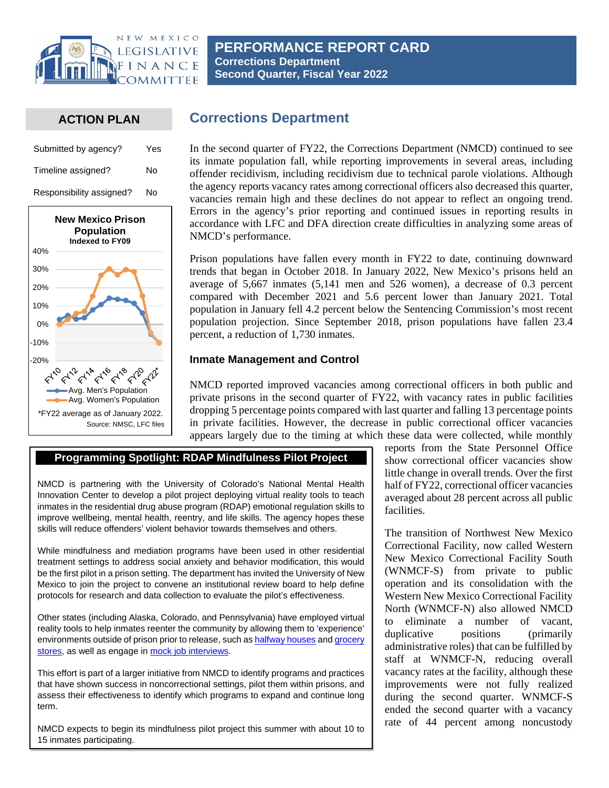

### **ACTION PLAN**

| Submitted by agency?     | Yes |
|--------------------------|-----|
| Timeline assigned?       | No  |
| Responsibility assigned? | No  |



# **Corrections Department**

In the second quarter of FY22, the Corrections Department (NMCD) continued to see its inmate population fall, while reporting improvements in several areas, including offender recidivism, including recidivism due to technical parole violations. Although the agency reports vacancy rates among correctional officers also decreased this quarter, vacancies remain high and these declines do not appear to reflect an ongoing trend. Errors in the agency's prior reporting and continued issues in reporting results in accordance with LFC and DFA direction create difficulties in analyzing some areas of NMCD's performance.

Prison populations have fallen every month in FY22 to date, continuing downward trends that began in October 2018. In January 2022, New Mexico's prisons held an average of 5,667 inmates (5,141 men and 526 women), a decrease of 0.3 percent compared with December 2021 and 5.6 percent lower than January 2021. Total population in January fell 4.2 percent below the Sentencing Commission's most recent population projection. Since September 2018, prison populations have fallen 23.4 percent, a reduction of 1,730 inmates.

### **Inmate Management and Control**

NMCD reported improved vacancies among correctional officers in both public and private prisons in the second quarter of FY22, with vacancy rates in public facilities dropping 5 percentage points compared with last quarter and falling 13 percentage points in private facilities. However, the decrease in public correctional officer vacancies appears largely due to the timing at which these data were collected, while monthly

## **Programming Spotlight: RDAP Mindfulness Pilot Project**

NMCD is partnering with the University of Colorado's National Mental Health Innovation Center to develop a pilot project deploying virtual reality tools to teach inmates in the residential drug abuse program (RDAP) emotional regulation skills to improve wellbeing, mental health, reentry, and life skills. The agency hopes these skills will reduce offenders' violent behavior towards themselves and others.

While mindfulness and mediation programs have been used in other residential treatment settings to address social anxiety and behavior modification, this would be the first pilot in a prison setting. The department has invited the University of New Mexico to join the project to convene an institutional review board to help define protocols for research and data collection to evaluate the pilot's effectiveness.

Other states (including Alaska, Colorado, and Pennsylvania) have employed virtual reality tools to help inmates reenter the community by allowing them to 'experience' environments outside of prison prior to release, such a[s halfway houses](https://www.themarshallproject.org/2018/07/17/a-view-of-tomorrow) and grocery [stores,](https://www.prisonlegalnews.org/news/2019/jul/2/some-prisons-are-using-virtual-reality-reentry-and-other-programs/) as well as engage in [mock job interviews.](https://www.corrections1.com/re-entry-and-recidivism/articles/can-virtual-reality-help-reform-inmates-alaska-doc-wants-to-find-out-IpBSQ34OzaTOniou/)

This effort is part of a larger initiative from NMCD to identify programs and practices that have shown success in noncorrectional settings, pilot them within prisons, and assess their effectiveness to identify which programs to expand and continue long term.

NMCD expects to begin its mindfulness pilot project this summer with about 10 to 15 inmates participating.

reports from the State Personnel Office show correctional officer vacancies show little change in overall trends. Over the first half of FY22, correctional officer vacancies averaged about 28 percent across all public facilities.

The transition of Northwest New Mexico Correctional Facility, now called Western New Mexico Correctional Facility South (WNMCF-S) from private to public operation and its consolidation with the Western New Mexico Correctional Facility North (WNMCF-N) also allowed NMCD to eliminate a number of vacant, duplicative positions (primarily administrative roles) that can be fulfilled by staff at WNMCF-N, reducing overall vacancy rates at the facility, although these improvements were not fully realized during the second quarter. WNMCF-S ended the second quarter with a vacancy rate of 44 percent among noncustody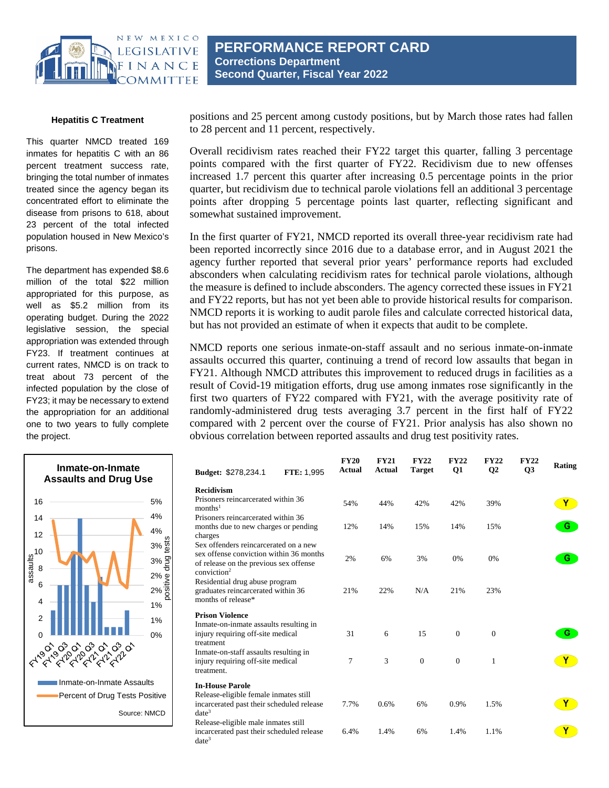

#### **Hepatitis C Treatment**

This quarter NMCD treated 169 inmates for hepatitis C with an 86 percent treatment success rate, bringing the total number of inmates treated since the agency began its concentrated effort to eliminate the disease from prisons to 618, about 23 percent of the total infected population housed in New Mexico's prisons.

The department has expended \$8.6 million of the total \$22 million appropriated for this purpose, as well as \$5.2 million from its operating budget. During the 2022 legislative session, the special appropriation was extended through FY23. If treatment continues at current rates, NMCD is on track to treat about 73 percent of the infected population by the close of FY23; it may be necessary to extend the appropriation for an additional one to two years to fully complete the project.



positions and 25 percent among custody positions, but by March those rates had fallen to 28 percent and 11 percent, respectively.

Overall recidivism rates reached their FY22 target this quarter, falling 3 percentage points compared with the first quarter of FY22. Recidivism due to new offenses increased 1.7 percent this quarter after increasing 0.5 percentage points in the prior quarter, but recidivism due to technical parole violations fell an additional 3 percentage points after dropping 5 percentage points last quarter, reflecting significant and somewhat sustained improvement.

In the first quarter of FY21, NMCD reported its overall three-year recidivism rate had been reported incorrectly since 2016 due to a database error, and in August 2021 the agency further reported that several prior years' performance reports had excluded absconders when calculating recidivism rates for technical parole violations, although the measure is defined to include absconders. The agency corrected these issues in FY21 and FY22 reports, but has not yet been able to provide historical results for comparison. NMCD reports it is working to audit parole files and calculate corrected historical data, but has not provided an estimate of when it expects that audit to be complete.

NMCD reports one serious inmate-on-staff assault and no serious inmate-on-inmate assaults occurred this quarter, continuing a trend of record low assaults that began in FY21. Although NMCD attributes this improvement to reduced drugs in facilities as a result of Covid-19 mitigation efforts, drug use among inmates rose significantly in the first two quarters of FY22 compared with FY21, with the average positivity rate of randomly-administered drug tests averaging 3.7 percent in the first half of FY22 compared with 2 percent over the course of FY21. Prior analysis has also shown no obvious correlation between reported assaults and drug test positivity rates.

| FTE: 1,995<br><b>Budget: \$278,234.1</b>                                                                                              | <b>FY20</b><br><b>Actual</b> | <b>FY21</b><br>Actual | <b>FY22</b><br><b>Target</b> | <b>FY22</b><br><b>Q1</b> | <b>FY22</b><br><b>O<sub>2</sub></b> | <b>FY22</b><br><b>O3</b> | Rating |
|---------------------------------------------------------------------------------------------------------------------------------------|------------------------------|-----------------------|------------------------------|--------------------------|-------------------------------------|--------------------------|--------|
| <b>Recidivism</b><br>Prisoners reincarcerated within 36<br>months <sup>1</sup><br>Prisoners reincarcerated within 36                  | 54%                          | 44%                   | 42%                          | 42%                      | 39%                                 |                          | Y      |
| months due to new charges or pending<br>charges<br>Sex offenders reincarcerated on a new                                              | 12%                          | 14%                   | 15%                          | 14%                      | 15%                                 |                          | G      |
| sex offense conviction within 36 months<br>of release on the previous sex offense<br>conviction $2$<br>Residential drug abuse program | 2%                           | 6%                    | 3%                           | 0%                       | $0\%$                               |                          | G      |
| graduates reincarcerated within 36<br>months of release*<br><b>Prison Violence</b>                                                    | 21%                          | 22%                   | N/A                          | 21%                      | 23%                                 |                          |        |
| Inmate-on-inmate assaults resulting in<br>injury requiring off-site medical<br>treatment                                              | 31                           | 6                     | 15                           | $\Omega$                 | $\mathbf{0}$                        |                          | G      |
| Inmate-on-staff assaults resulting in<br>injury requiring off-site medical<br>treatment.                                              | 7                            | 3                     | $\overline{0}$               | $\overline{0}$           | $\mathbf{1}$                        |                          |        |
| <b>In-House Parole</b><br>Release-eligible female inmates still<br>incarcerated past their scheduled release<br>$date^3$              | 7.7%                         | 0.6%                  | 6%                           | 0.9%                     | 1.5%                                |                          |        |
| Release-eligible male inmates still<br>incarcerated past their scheduled release<br>$date^3$                                          | 6.4%                         | 1.4%                  | 6%                           | 1.4%                     | 1.1%                                |                          |        |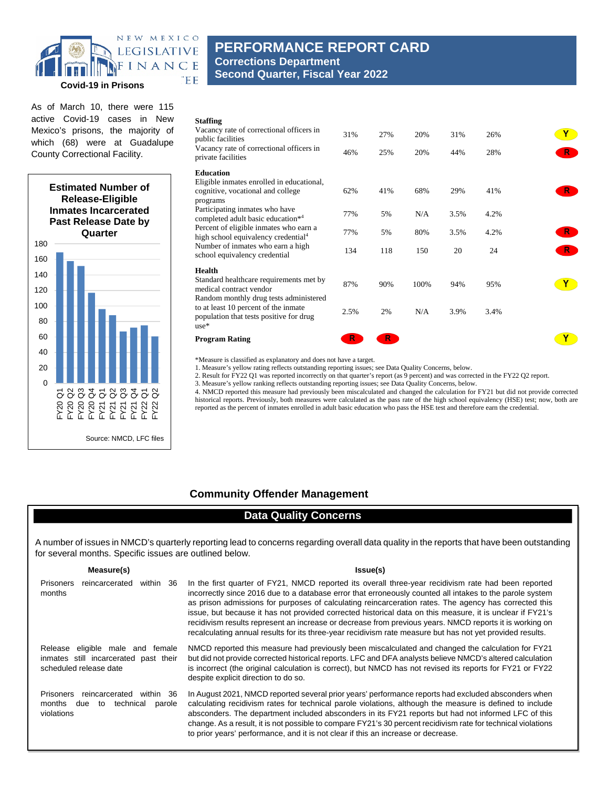

As of March 10, there were 115 active Covid-19 cases in New Mexico's prisons, the majority of which (68) were at Guadalupe County Correctional Facility.



# **PERFORMANCE REPORT CARD Corrections Department Second Quarter, Fiscal Year 2022**

| <b>Staffing</b><br>Vacancy rate of correctional officers in<br>public facilities<br>Vacancy rate of correctional officers in<br>private facilities                                                                                                                                                                                                       | 31%<br>46% | 27%<br>25% | 20%<br>20% | 31%<br>44% | 26%<br>28% | R.               |
|----------------------------------------------------------------------------------------------------------------------------------------------------------------------------------------------------------------------------------------------------------------------------------------------------------------------------------------------------------|------------|------------|------------|------------|------------|------------------|
| <b>Education</b><br>Eligible inmates enrolled in educational,<br>cognitive, vocational and college<br>programs<br>Participating inmates who have<br>completed adult basic education*4<br>Percent of eligible inmates who earn a<br>high school equivalency credential <sup>4</sup><br>Number of inmates who earn a high<br>school equivalency credential | 62%        | 41%        | 68%        | 29%        | 41%        | R.               |
|                                                                                                                                                                                                                                                                                                                                                          | 77%        | 5%         | N/A        | 3.5%       | 4.2%       |                  |
|                                                                                                                                                                                                                                                                                                                                                          | 77%<br>134 | 5%<br>118  | 80%<br>150 | 3.5%<br>20 | 4.2%<br>24 | $R^{\circ}$<br>R |
| Health<br>Standard healthcare requirements met by<br>medical contract vendor<br>Random monthly drug tests administered                                                                                                                                                                                                                                   | 87%        | 90%        | 100%       | 94%        | 95%        |                  |
| to at least 10 percent of the inmate<br>population that tests positive for drug<br>$use*$                                                                                                                                                                                                                                                                | 2.5%       | 2%         | N/A        | 3.9%       | 3.4%       |                  |
| <b>Program Rating</b>                                                                                                                                                                                                                                                                                                                                    | R          | R.         |            |            |            |                  |

\*Measure is classified as explanatory and does not have a target.

1. Measure's yellow rating reflects outstanding reporting issues; see Data Quality Concerns, below.

2. Result for FY22 Q1 was reported incorrectly on that quarter's report (as 9 percent) and was corrected in the FY22 Q2 report.

3. Measure's yellow ranking reflects outstanding reporting issues; see Data Quality Concerns, below.

4. NMCD reported this measure had previously been miscalculated and changed the calculation for FY21 but did not provide corrected historical reports. Previously, both measures were calculated as the pass rate of the high school equivalency (HSE) test; now, both are reported as the percent of inmates enrolled in adult basic education who pass the HSE test and therefore earn the credential.

### **Community Offender Management**

### **Data Quality Concerns**

A number of issues in NMCD's quarterly reporting lead to concerns regarding overall data quality in the reports that have been outstanding for several months. Specific issues are outlined below.

| Measure(s)                                                                                             | Issue(s)                                                                                                                                                                                                                                                                                                                                                                                                                                                                                                                                                                                                                                                       |  |  |  |  |  |
|--------------------------------------------------------------------------------------------------------|----------------------------------------------------------------------------------------------------------------------------------------------------------------------------------------------------------------------------------------------------------------------------------------------------------------------------------------------------------------------------------------------------------------------------------------------------------------------------------------------------------------------------------------------------------------------------------------------------------------------------------------------------------------|--|--|--|--|--|
| <b>Prisoners</b><br>reincarcerated<br>within<br>36<br>months                                           | In the first quarter of FY21, NMCD reported its overall three-year recidivism rate had been reported<br>incorrectly since 2016 due to a database error that erroneously counted all intakes to the parole system<br>as prison admissions for purposes of calculating reincarceration rates. The agency has corrected this<br>issue, but because it has not provided corrected historical data on this measure, it is unclear if FY21's<br>recidivism results represent an increase or decrease from previous years. NMCD reports it is working on<br>recalculating annual results for its three-year recidivism rate measure but has not yet provided results. |  |  |  |  |  |
| Release eligible male and<br>female<br>inmates still incarcerated past their<br>scheduled release date | NMCD reported this measure had previously been miscalculated and changed the calculation for FY21<br>but did not provide corrected historical reports. LFC and DFA analysts believe NMCD's altered calculation<br>is incorrect (the original calculation is correct), but NMCD has not revised its reports for FY21 or FY22<br>despite explicit direction to do so.                                                                                                                                                                                                                                                                                            |  |  |  |  |  |
| Prisoners<br>reincarcerated<br>within 36<br>months due<br>technical<br>to<br>parole<br>violations      | In August 2021, NMCD reported several prior years' performance reports had excluded absconders when<br>calculating recidivism rates for technical parole violations, although the measure is defined to include<br>absconders. The department included absconders in its FY21 reports but had not informed LFC of this<br>change. As a result, it is not possible to compare FY21's 30 percent recidivism rate for technical violations<br>to prior years' performance, and it is not clear if this an increase or decrease.                                                                                                                                   |  |  |  |  |  |